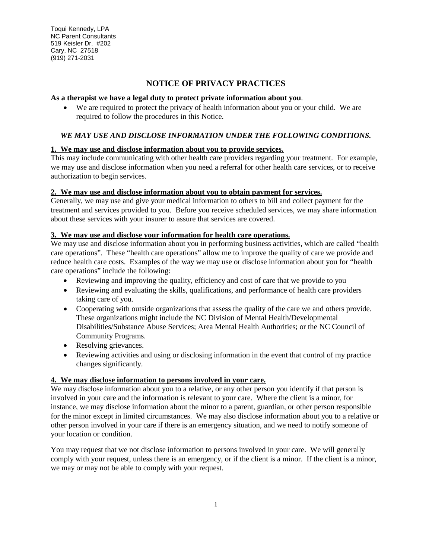Toqui Kennedy, LPA NC Parent Consultants 519 Keisler Dr. #202 Cary, NC 27518 (919) 271-2031

# **NOTICE OF PRIVACY PRACTICES**

#### **As a therapist we have a legal duty to protect private information about you**.

• We are required to protect the privacy of health information about you or your child. We are required to follow the procedures in this Notice.

## *WE MAY USE AND DISCLOSE INFORMATION UNDER THE FOLLOWING CONDITIONS.*

#### **1. We may use and disclose information about you to provide services.**

This may include communicating with other health care providers regarding your treatment. For example, we may use and disclose information when you need a referral for other health care services, or to receive authorization to begin services.

#### **2. We may use and disclose information about you to obtain payment for services.**

Generally, we may use and give your medical information to others to bill and collect payment for the treatment and services provided to you. Before you receive scheduled services, we may share information about these services with your insurer to assure that services are covered.

# **3. We may use and disclose your information for health care operations.**

We may use and disclose information about you in performing business activities, which are called "health" care operations". These "health care operations" allow me to improve the quality of care we provide and reduce health care costs. Examples of the way we may use or disclose information about you for "health care operations" include the following:

- Reviewing and improving the quality, efficiency and cost of care that we provide to you
- Reviewing and evaluating the skills, qualifications, and performance of health care providers taking care of you.
- Cooperating with outside organizations that assess the quality of the care we and others provide. These organizations might include the NC Division of Mental Health/Developmental Disabilities/Substance Abuse Services; Area Mental Health Authorities; or the NC Council of Community Programs.
- Resolving grievances.
- Reviewing activities and using or disclosing information in the event that control of my practice changes significantly.

#### **4. We may disclose information to persons involved in your care.**

We may disclose information about you to a relative, or any other person you identify if that person is involved in your care and the information is relevant to your care. Where the client is a minor, for instance, we may disclose information about the minor to a parent, guardian, or other person responsible for the minor except in limited circumstances. We may also disclose information about you to a relative or other person involved in your care if there is an emergency situation, and we need to notify someone of your location or condition.

You may request that we not disclose information to persons involved in your care. We will generally comply with your request, unless there is an emergency, or if the client is a minor. If the client is a minor, we may or may not be able to comply with your request.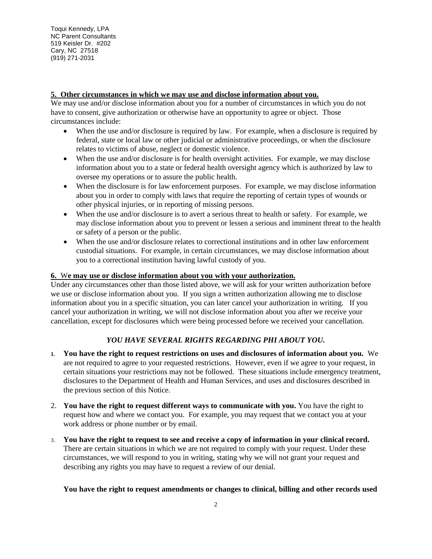## **5. Other circumstances in which we may use and disclose information about you.**

We may use and/or disclose information about you for a number of circumstances in which you do not have to consent, give authorization or otherwise have an opportunity to agree or object. Those circumstances include:

- When the use and/or disclosure is required by law. For example, when a disclosure is required by federal, state or local law or other judicial or administrative proceedings, or when the disclosure relates to victims of abuse, neglect or domestic violence.
- When the use and/or disclosure is for health oversight activities. For example, we may disclose information about you to a state or federal health oversight agency which is authorized by law to oversee my operations or to assure the public health.
- When the disclosure is for law enforcement purposes. For example, we may disclose information about you in order to comply with laws that require the reporting of certain types of wounds or other physical injuries, or in reporting of missing persons.
- When the use and/or disclosure is to avert a serious threat to health or safety. For example, we may disclose information about you to prevent or lessen a serious and imminent threat to the health or safety of a person or the public.
- When the use and/or disclosure relates to correctional institutions and in other law enforcement custodial situations. For example, in certain circumstances, we may disclose information about you to a correctional institution having lawful custody of you.

#### **6.** W**e may use or disclose information about you with your authorization.**

Under any circumstances other than those listed above, we will ask for your written authorization before we use or disclose information about you. If you sign a written authorization allowing me to disclose information about you in a specific situation, you can later cancel your authorization in writing. If you cancel your authorization in writing, we will not disclose information about you after we receive your cancellation, except for disclosures which were being processed before we received your cancellation.

## *YOU HAVE SEVERAL RIGHTS REGARDING PHI ABOUT YOU.*

- **1. You have the right to request restrictions on uses and disclosures of information about you.** We are not required to agree to your requested restrictions. However, even if we agree to your request, in certain situations your restrictions may not be followed. These situations include emergency treatment, disclosures to the Department of Health and Human Services, and uses and disclosures described in the previous section of this Notice.
- 2. **You have the right to request different ways to communicate with you.** You have the right to request how and where we contact you. For example, you may request that we contact you at your work address or phone number or by email.
- 3. **You have the right to request to see and receive a copy of information in your clinical record.** There are certain situations in which we are not required to comply with your request. Under these circumstances, we will respond to you in writing, stating why we will not grant your request and describing any rights you may have to request a review of our denial.

#### **You have the right to request amendments or changes to clinical, billing and other records used**